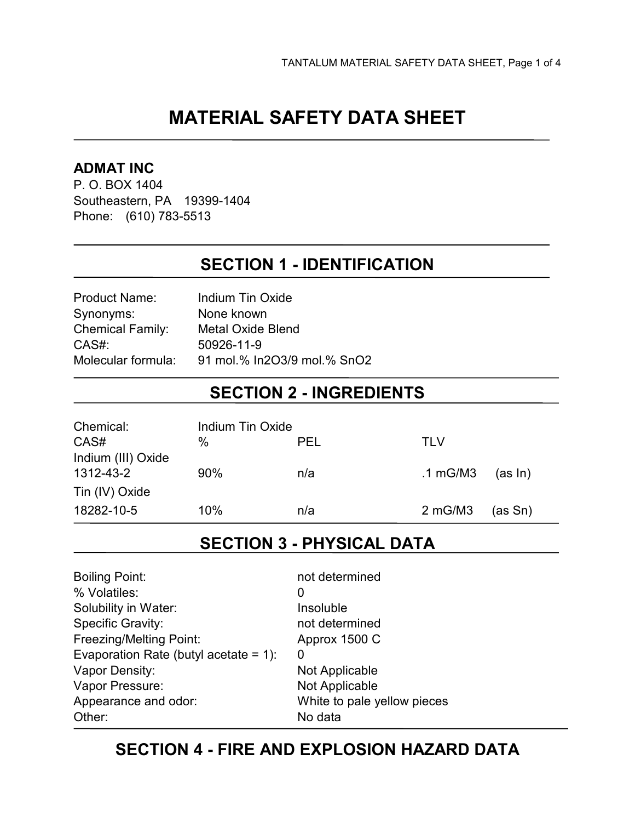# **MATERIAL SAFETY DATA SHEET**

#### **ADMAT INC**

P. O. BOX 1404 Southeastern, PA 19399-1404 Phone: (610) 783-5513

### **SECTION 1 - IDENTIFICATION**

| Product Name:           | Indium Tin Oxide            |
|-------------------------|-----------------------------|
| Synonyms:               | None known                  |
| <b>Chemical Family:</b> | Metal Oxide Blend           |
| CAS#:                   | 50926-11-9                  |
| Molecular formula:      | 91 mol.% In2O3/9 mol.% SnO2 |
|                         |                             |

### **SECTION 2 - INGREDIENTS**

| Chemical:          | Indium Tin Oxide |     |                   |         |
|--------------------|------------------|-----|-------------------|---------|
| CAS#               | %                | PEL | TI V              |         |
| Indium (III) Oxide |                  |     |                   |         |
| 1312-43-2          | 90%              | n/a | .1 mG/M3          | (as In) |
| Tin (IV) Oxide     |                  |     |                   |         |
| 18282-10-5         | 10%              | n/a | $2 \text{ mG/M3}$ | (as Sn) |

# **SECTION 3 - PHYSICAL DATA**

| <b>Boiling Point:</b>                 | not determined              |
|---------------------------------------|-----------------------------|
| % Volatiles:                          | O                           |
| Solubility in Water:                  | Insoluble                   |
| <b>Specific Gravity:</b>              | not determined              |
| <b>Freezing/Melting Point:</b>        | Approx 1500 C               |
| Evaporation Rate (butyl acetate = 1): | O                           |
| Vapor Density:                        | Not Applicable              |
| Vapor Pressure:                       | Not Applicable              |
| Appearance and odor:                  | White to pale yellow pieces |
| Other:                                | No data                     |
|                                       |                             |

### **SECTION 4 - FIRE AND EXPLOSION HAZARD DATA**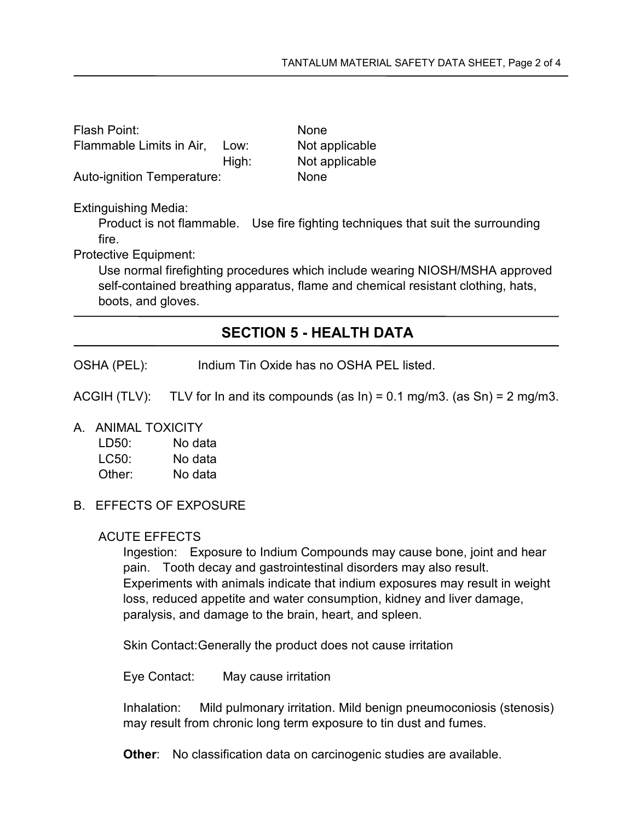| Flash Point:               |       | <b>None</b>    |
|----------------------------|-------|----------------|
| Flammable Limits in Air.   | Low:  | Not applicable |
|                            | High: | Not applicable |
| Auto-ignition Temperature: |       | <b>None</b>    |

Extinguishing Media:

Product is not flammable. Use fire fighting techniques that suit the surrounding fire.

Protective Equipment:

Use normal firefighting procedures which include wearing NIOSH/MSHA approved self-contained breathing apparatus, flame and chemical resistant clothing, hats, boots, and gloves.

### **SECTION 5 - HEALTH DATA**

OSHA (PEL): Indium Tin Oxide has no OSHA PEL listed.

ACGIH (TLV): TLV for In and its compounds (as  $\ln$ ) = 0.1 mg/m3. (as Sn) = 2 mg/m3.

A. ANIMAL TOXICITY

| LD50:  | No data |
|--------|---------|
| LC50:  | No data |
| Other: | No data |

B. EFFECTS OF EXPOSURE

#### ACUTE EFFECTS

Ingestion: Exposure to Indium Compounds may cause bone, joint and hear pain. Tooth decay and gastrointestinal disorders may also result. Experiments with animals indicate that indium exposures may result in weight loss, reduced appetite and water consumption, kidney and liver damage, paralysis, and damage to the brain, heart, and spleen.

Skin Contact: Generally the product does not cause irritation

Eye Contact: May cause irritation

Inhalation: Mild pulmonary irritation. Mild benign pneumoconiosis (stenosis) may result from chronic long term exposure to tin dust and fumes.

**Other:** No classification data on carcinogenic studies are available.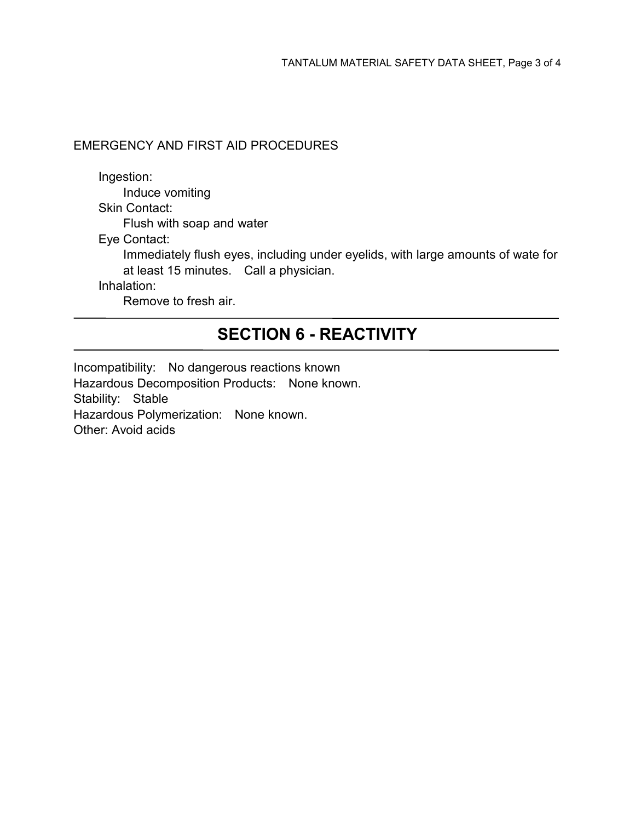#### EMERGENCY AND FIRST AID PROCEDURES

Ingestion: Induce vomiting Skin Contact: Flush with soap and water Eye Contact: Immediately flush eyes, including under eyelids, with large amounts of wate for at least 15 minutes. Call a physician. Inhalation: Remove to fresh air.

## **SECTION 6 - REACTIVITY**

Incompatibility: No dangerous reactions known Hazardous Decomposition Products: None known. Stability: Stable Hazardous Polymerization: None known. Other: Avoid acids